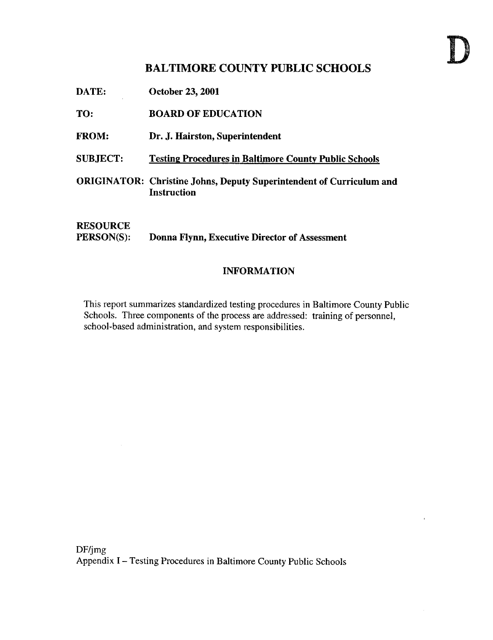# BALTIMORE COUNTY PUBLIC SCHOOLS

DATE: October 23, 2001

TO: BOARD OF EDUCATION

- FROM: Dr. J. Hairston, Superintendent
- SUBJECT: Testing Procedures in Baltimore County Public Schools
- ORIGINATOR: Christine Johns, Deputy Superintendent of Curriculum and **Instruction**

## **RESOURCE**<br>PERSON(S): Donna Flynn, Executive Director of Assessment

#### INFORMATION

This report summarizes standardized testing procedures in Baltimore County Public Schools. Three components of the process are addressed: training of personnel, school-based administration, and system responsibilities .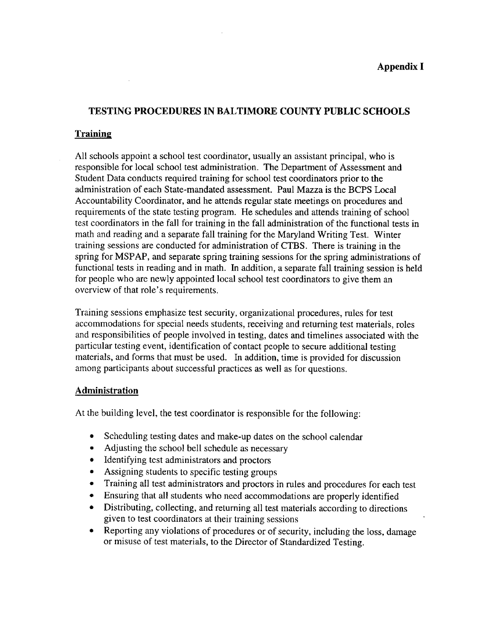## Appendix <sup>I</sup>

#### TESTING PROCEDURES IN BALTIMORE COUNTY PUBLIC SCHOOLS

#### **Training**

 $\sim$ 

All schools appoint a school test coordinator, usually an assistant principal, who is responsible for local school test administration. The Department of Assessment and Student Data conducts required training for school test coordinators prior to the administration of each State-mandated assessment. Paul Mazza is the BCPS Local Accountability Coordinator, and he attends regular state meetings on procedures and requirements of the state testing program. He schedules and attends training of school test coordinators in the fall for training in the fall administration of the functional tests in math and reading and a separate fall training for the Maryland Writing Test. Winter training sessions are conducted for administration of CTBS . There is training in the spring for MSPAP, and separate spring training sessions for the spring administrations of functional tests in reading and in math. In addition, a separate fall training session is held for people who are newly appointed local school test coordinators to give them an overview of that role's requirements.

Training sessions emphasize test security, organizational procedures, rules for test accommodations for special needs students, receiving and returning test materials, roles and responsibilities of people involved in testing, dates and timelines associated with the particular testing event, identification of contact people to secure additional testing materials, and forms that must be used. In addition, time is provided for discussion among participants about successful practices as well as for questions.

#### **Administration**

At the building level, the test coordinator is responsible for the following:

- Scheduling testing dates and make-up dates on the school calendar
- Adjusting the school bell schedule as necessary
- Identifying test administrators and proctors
- Assigning students to specific testing groups
- Training all test administrators and proctors in rules and procedures for each test
- " Ensuring that all students who need accommodations are properly identified
- Distributing, collecting, and returning all test materials according to directions given to test coordinators at their training sessions
- Reporting any violations of procedures or of security, including the loss, damage or misuse of test materials, to the Director of Standardized Testing.